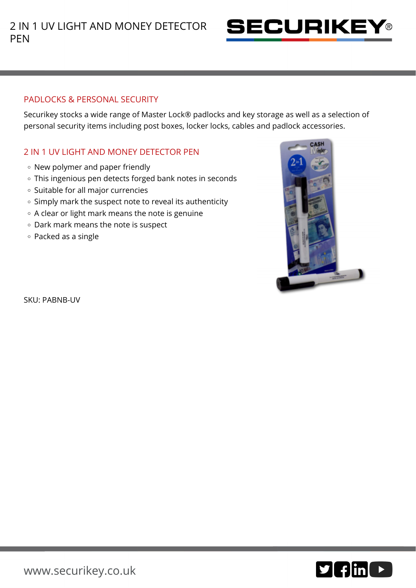

## PADLOCKS & PERSONAL SECURITY

Securikey stocks a wide range of Master Lock® padlocks and key storage as well as a selection of personal security items including post boxes, locker locks, cables and padlock accessories.

## 2 IN 1 UV LIGHT AND MONEY DETECTOR PEN

- New polymer and paper friendly
- This ingenious pen detects forged bank notes in seconds
- o Suitable for all major currencies
- $\circ$  Simply mark the suspect note to reveal its authenticity
- A clear or light mark means the note is genuine
- Dark mark means the note is suspect
- Packed as a single



SKU: PABNB-UV

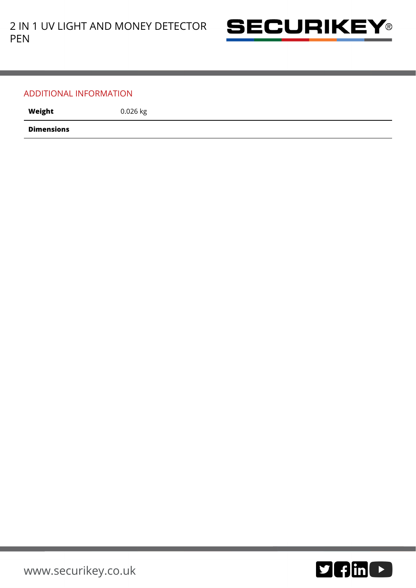

## ADDITIONAL INFORMATION

Weight 0.026 kg

**Dimensions**

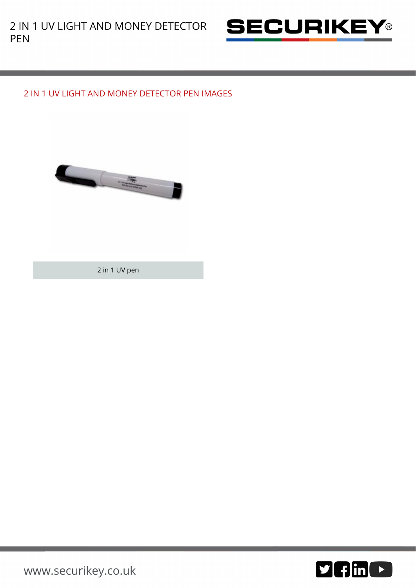

## 2 IN 1 UV LIGHT AND MONEY DETECTOR PEN IMAGES



2 in 1 UV pen



[www.securikey.co.uk](http://www.securikey.co.uk/)